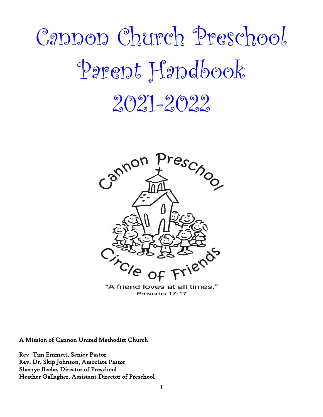# Cannon Church Preschool Parent Handbook 2021-2022



"A friend loves at all times." Proverbs 17:17

A Mission of Cannon United Methodist Church

Rev. Tim Emmett, Senior Pastor Rev. Dr. Skip Johnson, Associate Pastor Sherrye Beebe, Director of Preschool Heather Gallagher, Assistant Director of Preschool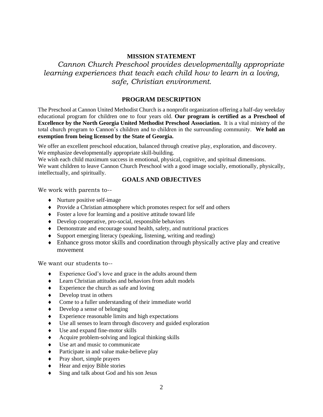# **MISSION STATEMENT**

*Cannon Church Preschool provides developmentally appropriate learning experiences that teach each child how to learn in a loving, safe, Christian environment.*

# **PROGRAM DESCRIPTION**

The Preschool at Cannon United Methodist Church is a nonprofit organization offering a half-day weekday educational program for children one to four years old. **Our program is certified as a Preschool of Excellence by the North Georgia United Methodist Preschool Association.** It is a vital ministry of the total church program to Cannon's children and to children in the surrounding community. **We hold an exemption from being licensed by the State of Georgia.**

 We offer an excellent preschool education, balanced through creative play, exploration, and discovery. We emphasize developmentally appropriate skill-building.

We wish each child maximum success in emotional, physical, cognitive, and spiritual dimensions. We want children to leave Cannon Church Preschool with a good image socially, emotionally, physically, intellectually, and spiritually.

# **GOALS AND OBJECTIVES**

We work with parents to--

- Nurture positive self-image
- Provide a Christian atmosphere which promotes respect for self and others
- Foster a love for learning and a positive attitude toward life
- Develop cooperative, pro-social, responsible behaviors
- Demonstrate and encourage sound health, safety, and nutritional practices
- $\bullet$  Support emerging literacy (speaking, listening, writing and reading)
- Enhance gross motor skills and coordination through physically active play and creative movement

We want our students to--

- Experience God's love and grace in the adults around them
- Learn Christian attitudes and behaviors from adult models
- Experience the church as safe and loving
- $\triangleleft$  Develop trust in others
- Come to a fuller understanding of their immediate world
- Develop a sense of belonging
- Experience reasonable limits and high expectations
- Use all senses to learn through discovery and guided exploration
- Use and expand fine-motor skills
- Acquire problem-solving and logical thinking skills
- Use art and music to communicate
- Participate in and value make-believe play
- Pray short, simple prayers
- $\triangleleft$  Hear and enjoy Bible stories
- Sing and talk about God and his son Jesus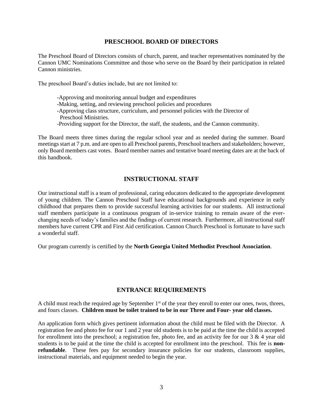### **PRESCHOOL BOARD OF DIRECTORS**

The Preschool Board of Directors consists of church, parent, and teacher representatives nominated by the Cannon UMC Nominations Committee and those who serve on the Board by their participation in related Cannon ministries.

The preschool Board's duties include, but are not limited to:

-Approving and monitoring annual budget and expenditures

-Making, setting, and reviewing preschool policies and procedures

-Approving class structure, curriculum, and personnel policies with the Director of

Preschool Ministries.

-Providing support for the Director, the staff, the students, and the Cannon community.

The Board meets three times during the regular school year and as needed during the summer. Board meetings start at 7 p.m. and are open to all Preschool parents, Preschool teachers and stakeholders; however, only Board members cast votes. Board member names and tentative board meeting dates are at the back of this handbook.

# **INSTRUCTIONAL STAFF**

Our instructional staff is a team of professional, caring educators dedicated to the appropriate development of young children. The Cannon Preschool Staff have educational backgrounds and experience in early childhood that prepares them to provide successful learning activities for our students. All instructional staff members participate in a continuous program of in-service training to remain aware of the everchanging needs of today's families and the findings of current research. Furthermore, all instructional staff members have current CPR and First Aid certification. Cannon Church Preschool is fortunate to have such a wonderful staff.

Our program currently is certified by the **North Georgia United Methodist Preschool Association**.

## **ENTRANCE REQUIREMENTS**

A child must reach the required age by September  $1<sup>st</sup>$  of the year they enroll to enter our ones, twos, threes, and fours classes. **Children must be toilet trained to be in our Three and Four- year old classes.**

An application form which gives pertinent information about the child must be filed with the Director. A registration fee and photo fee for our 1 and 2 year old students is to be paid at the time the child is accepted for enrollment into the preschool; a registration fee, photo fee, and an activity fee for our 3 & 4 year old students is to be paid at the time the child is accepted for enrollment into the preschool. This fee is **nonrefundable**. These fees pay for secondary insurance policies for our students, classroom supplies, instructional materials, and equipment needed to begin the year.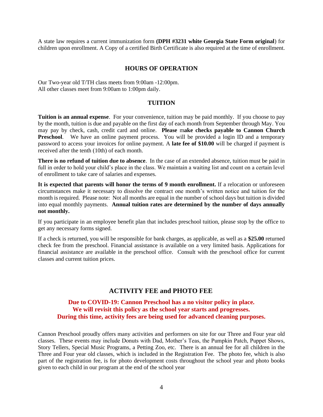A state law requires a current immunization form **(DPH #3231 white Georgia State Form original**) for children upon enrollment. A Copy of a certified Birth Certificate is also required at the time of enrollment.

#### **HOURS OF OPERATION**

Our Two-year old T/TH class meets from 9:00am -12:00pm. All other classes meet from 9:00am to 1:00pm daily.

#### **TUITION**

**Tuition is an annual expense**. For your convenience, tuition may be paid monthly. If you choose to pay by the month, tuition is due and payable on the first day of each month from September through May. You may pay by check, cash, credit card and online. **Please** m**ake checks payable to Cannon Church Preschool.** We have an online payment process. You will be provided a login ID and a temporary password to access your invoices for online payment. A **late fee of \$10.00** will be charged if payment is received after the tenth (10th) of each month.

**There is no refund of tuition due to absence**. In the case of an extended absence, tuition must be paid in full in order to hold your child's place in the class. We maintain a waiting list and count on a certain level of enrollment to take care of salaries and expenses.

**It is expected that parents will honor the terms of 9 month enrollment.** If a relocation or unforeseen circumstances make it necessary to dissolve the contract one month's written notice and tuition for the month is required. Please note: Not all months are equal in the number of school days but tuition is divided into equal monthly payments. **Annual tuition rates are determined by the number of days annually not monthly.**

If you participate in an employee benefit plan that includes preschool tuition, please stop by the office to get any necessary forms signed.

If a check is returned, you will be responsible for bank charges, as applicable, as well as a **\$25.00** returned check fee from the preschool. Financial assistance is available on a very limited basis. Applications for financial assistance are available in the preschool office. Consult with the preschool office for current classes and current tuition prices.

## **ACTIVITY FEE and PHOTO FEE**

## **Due to COVID-19: Cannon Preschool has a no visitor policy in place. We will revisit this policy as the school year starts and progresses. During this time, activity fees are being used for advanced cleaning purposes.**

Cannon Preschool proudly offers many activities and performers on site for our Three and Four year old classes. These events may include Donuts with Dad, Mother's Teas, the Pumpkin Patch, Puppet Shows, Story Tellers, Special Music Programs, a Petting Zoo, etc. There is an annual fee for all children in the Three and Four year old classes, which is included in the Registration Fee. The photo fee, which is also part of the registration fee, is for photo development costs throughout the school year and photo books given to each child in our program at the end of the school year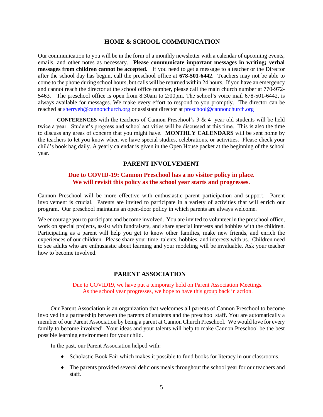#### **HOME & SCHOOL COMMUNICATION**

Our communication to you will be in the form of a monthly newsletter with a calendar of upcoming events, emails, and other notes as necessary. **Please communicate important messages in writing; verbal messages from children cannot be accepted.** If you need to get a message to a teacher or the Director after the school day has begun, call the preschool office at **678-501-6442**. Teachers may not be able to come to the phone during school hours, but calls will be returned within 24 hours. If you have an emergency and cannot reach the director at the school office number, please call the main church number at 770-972- 5463. The preschool office is open from 8:30am to 2:00pm. The school's voice mail 678-501-6442, is always available for messages. We make every effort to respond to you promptly. The director can be reached at [sherryeb@cannonchurch.org](mailto:sherryeb@cannonchurch.org) or assistant director at [preschool@cannonchurch.org](mailto:preschool@cannonchurch.org)

**CONFERENCES** with the teachers of Cannon Preschool's 3 & 4 year old students will be held twice a year. Student's progress and school activities will be discussed at this time. This is also the time to discuss any areas of concern that you might have. **MONTHLY CALENDARS** will be sent home by the teachers to let you know when we have special studies, celebrations, or activities. Please check your child's book bag daily. A yearly calendar is given in the Open House packet at the beginning of the school year.

# **PARENT INVOLVEMENT**

#### **Due to COVID-19: Cannon Preschool has a no visitor policy in place. We will revisit this policy as the school year starts and progresses.**

Cannon Preschool will be more effective with enthusiastic parent participation and support. Parent involvement is crucial. Parents are invited to participate in a variety of activities that will enrich our program. Our preschool maintains an open-door policy in which parents are always welcome.

We encourage you to participate and become involved. You are invited to volunteer in the preschool office, work on special projects, assist with fundraisers, and share special interests and hobbies with the children. Participating as a parent will help you get to know other families, make new friends, and enrich the experiences of our children. Please share your time, talents, hobbies, and interests with us. Children need to see adults who are enthusiastic about learning and your modeling will be invaluable. Ask your teacher how to become involved.

#### **PARENT ASSOCIATION**

#### Due to COVID19, we have put a temporary hold on Parent Association Meetings. As the school year progresses, we hope to have this group back in action.

Our Parent Association is an organization that welcomes all parents of Cannon Preschool to become involved in a partnership between the parents of students and the preschool staff. You are automatically a member of our Parent Association by being a parent at Cannon Church Preschool. We would love for every family to become involved! Your ideas and your talents will help to make Cannon Preschool be the best possible learning environment for your child.

In the past, our Parent Association helped with:

- Scholastic Book Fair which makes it possible to fund books for literacy in our classrooms.
- The parents provided several delicious meals throughout the school year for our teachers and staff.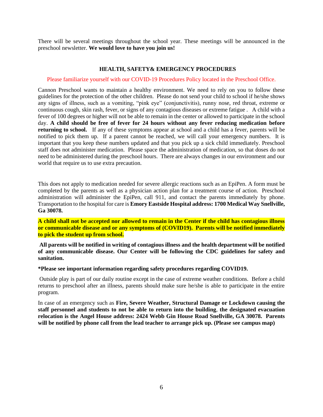There will be several meetings throughout the school year. These meetings will be announced in the preschool newsletter. **We would love to have you join us!**

#### **HEALTH, SAFETY& EMERGENCY PROCEDURES**

#### Please familiarize yourself with our COVID-19 Procedures Policy located in the Preschool Office.

Cannon Preschool wants to maintain a healthy environment. We need to rely on you to follow these guidelines for the protection of the other children. Please do not send your child to school if he/she shows any signs of illness, such as a vomiting, "pink eye" (conjunctivitis), runny nose, red throat, extreme or continuous cough, skin rash, fever, or signs of any contagious diseases or extreme fatigue . A child with a fever of 100 degrees or higher will not be able to remain in the center or allowed to participate in the school day. **A child should be free of fever for 24 hours without any fever reducing medication before returning to school.** If any of these symptoms appear at school and a child has a fever, parents will be notified to pick them up. If a parent cannot be reached, we will call your emergency numbers. It is important that you keep these numbers updated and that you pick up a sick child immediately. Preschool staff does not administer medication. Please space the administration of medication, so that doses do not need to be administered during the preschool hours. There are always changes in our environment and our world that require us to use extra precaution.

This does not apply to medication needed for severe allergic reactions such as an EpiPen. A form must be completed by the parents as well as a physician action plan for a treatment course of action. Preschool administration will administer the EpiPen, call 911, and contact the parents immediately by phone. Transportation to the hospital for care is **Emory Eastside Hospital address: 1700 Medical Way Snellville, Ga 30078.**

**A child shall not be accepted nor allowed to remain in the Center if the child has contagious illness or communicable disease and or any symptoms of (COVID19). Parents will be notified immediately to pick the student up from school.** 

**All parents will be notified in writing of contagious illness and the health department will be notified of any communicable disease. Our Center will be following the CDC guidelines for safety and sanitation.** 

**\*Please see important information regarding safety procedures regarding COVID19.**

Outside play is part of our daily routine except in the case of extreme weather conditions. Before a child returns to preschool after an illness, parents should make sure he/she is able to participate in the entire program.

In case of an emergency such as **Fire, Severe Weather, Structural Damage or Lockdown causing the staff personnel and students to not be able to return into the building**, **the designated evacuation relocation is the Angel House address: 2424 Webb Gin House Road Snellville, GA 30078. Parents will be notified by phone call from the lead teacher to arrange pick up. (Please see campus map)**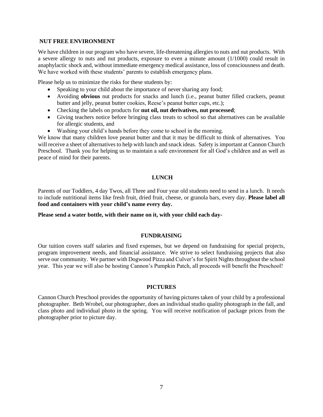#### **NUT FREE ENVIRONMENT**

We have children in our program who have severe, life-threatening allergies to nuts and nut products. With a severe allergy to nuts and nut products, exposure to even a minute amount (1/1000) could result in anaphylactic shock and, without immediate emergency medical assistance, loss of consciousness and death. We have worked with these students' parents to establish emergency plans.

Please help us to minimize the risks for these students by:

- Speaking to your child about the importance of never sharing any food;
- Avoiding **obvious** nut products for snacks and lunch (i.e., peanut butter filled crackers, peanut butter and jelly, peanut butter cookies, Reese's peanut butter cups, etc.);
- Checking the labels on products for **nut oil, nut derivatives, nut processed**;
- Giving teachers notice before bringing class treats to school so that alternatives can be available for allergic students, and
- Washing your child's hands before they come to school in the morning.

We know that many children love peanut butter and that it may be difficult to think of alternatives. You will receive a sheet of alternatives to help with lunch and snack ideas. Safety is important at Cannon Church Preschool. Thank you for helping us to maintain a safe environment for all God's children and as well as peace of mind for their parents.

#### **LUNCH**

Parents of our Toddlers, 4 day Twos, all Three and Four year old students need to send in a lunch. It needs to include nutritional items like fresh fruit, dried fruit, cheese, or granola bars, every day. **Please label all food and containers with your child's name every day.** 

**Please send a water bottle, with their name on it, with your child each day-**

#### **FUNDRAISING**

Our tuition covers staff salaries and fixed expenses, but we depend on fundraising for special projects, program improvement needs, and financial assistance. We strive to select fundraising projects that also serve our community. We partner with Dogwood Pizza and Culver's for Spirit Nights throughout the school year. This year we will also be hosting Cannon's Pumpkin Patch, all proceeds will benefit the Preschool!

#### **PICTURES**

Cannon Church Preschool provides the opportunity of having pictures taken of your child by a professional photographer. Beth Wrobel, our photographer, does an individual studio quality photograph in the fall, and class photo and individual photo in the spring. You will receive notification of package prices from the photographer prior to picture day.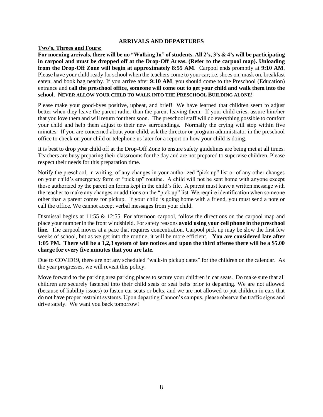#### **ARRIVALS AND DEPARTURES**

#### **Two's, Threes and Fours:**

**For morning arrivals, there will be no "Walking In" of students. All 2's, 3's & 4's will be participating in carpool and must be dropped off at the Drop-Off Areas. (Refer to the carpool map). Unloading from the Drop-Off Zone will begin at approximately 8:55 AM**. Carpool ends promptly at **9:10 AM**. Please have your child ready for school when the teachers come to your car; i.e. shoes on, mask on, breakfast eaten, and book bag nearby. If you arrive after **9:10 AM**, you should come to the Preschool (Education) entrance and **call the preschool office, someone will come out to get your child and walk them into the school. NEVER ALLOW YOUR CHILD TO WALK INTO THE PRESCHOOL BUILDING ALONE!** 

Please make your good-byes positive, upbeat, and brief! We have learned that children seem to adjust better when they leave the parent rather than the parent leaving them. If your child cries, assure him/her that you love them and will return for them soon. The preschool staff will do everything possible to comfort your child and help them adjust to their new surroundings. Normally the crying will stop within five minutes. If you are concerned about your child, ask the director or program administrator in the preschool office to check on your child or telephone us later for a report on how your child is doing.

It is best to drop your child off at the Drop-Off Zone to ensure safety guidelines are being met at all times. Teachers are busy preparing their classrooms for the day and are not prepared to supervise children. Please respect their needs for this preparation time.

Notify the preschool, in writing, of any changes in your authorized "pick up" list or of any other changes on your child's emergency form or "pick up" routine. A child will not be sent home with anyone except those authorized by the parent on forms kept in the child's file. A parent must leave a written message with the teacher to make any changes or additions on the "pick up" list. We require identification when someone other than a parent comes for pickup. If your child is going home with a friend, you must send a note or call the office. We cannot accept verbal messages from your child.

Dismissal begins at 11:55 & 12:55. For afternoon carpool, follow the directions on the carpool map and place your number in the front windshield. For safety reasons **avoid using your cell phone in the preschool**  line. The carpool moves at a pace that requires concentration. Carpool pick up may be slow the first few weeks of school, but as we get into the routine, it will be more efficient. **You are considered late after 1:05 PM. There will be a 1,2,3 system of late notices and upon the third offense there will be a \$5.00 charge for every five minutes that you are late.** 

Due to COVID19, there are not any scheduled "walk-in pickup dates" for the children on the calendar. As the year progresses, we will revisit this policy.

Move forward to the parking area parking places to secure your children in car seats. Do make sure that all children are securely fastened into their child seats or seat belts prior to departing. We are not allowed (because of liability issues) to fasten car seats or belts, and we are not allowed to put children in cars that do not have proper restraint systems. Upon departing Cannon's campus, please observe the traffic signs and drive safely. We want you back tomorrow!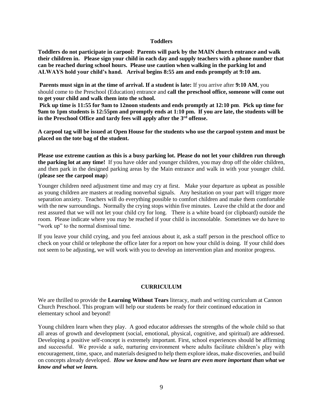#### **Toddlers**

**Toddlers do not participate in carpool: Parents will park by the MAIN church entrance and walk their children in. Please sign your child in each day and supply teachers with a phone number that can be reached during school hours. Please use caution when walking in the parking lot and ALWAYS hold your child's hand. Arrival begins 8:55 am and ends promptly at 9:10 am.** 

**Parents must sign in at the time of arrival. If a student is late:** If you arrive after **9:10 AM**, you should come to the Preschool (Education) entrance and **call the preschool office, someone will come out to get your child and walk them into the school.**

**Pick up time is 11:55 for 9am to 12noon students and ends promptly at 12:10 pm**. **Pick up time for 9am to 1pm students is 12:55pm and promptly ends at 1:10 pm. If you are late, the students will be in the Preschool Office and tardy fees will apply after the 3rd offense.** 

**A carpool tag will be issued at Open House for the students who use the carpool system and must be placed on the tote bag of the student.** 

**Please use extreme caution as this is a busy parking lot. Please do not let your children run through the parking lot at any time!** If you have older and younger children, you may drop off the older children, and then park in the designed parking areas by the Main entrance and walk in with your younger child. (**please see the carpool map**)

Younger children need adjustment time and may cry at first. Make your departure as upbeat as possible as young children are masters at reading nonverbal signals. Any hesitation on your part will trigger more separation anxiety. Teachers will do everything possible to comfort children and make them comfortable with the new surroundings. Normally the crying stops within five minutes. Leave the child at the door and rest assured that we will not let your child cry for long. There is a white board (or clipboard) outside the room. Please indicate where you may be reached if your child is inconsolable. Sometimes we do have to "work up" to the normal dismissal time.

If you leave your child crying, and you feel anxious about it, ask a staff person in the preschool office to check on your child or telephone the office later for a report on how your child is doing. If your child does not seem to be adjusting, we will work with you to develop an intervention plan and monitor progress.

#### **CURRICULUM**

We are thrilled to provide the **Learning Without Tears** literacy, math and writing curriculum at Cannon Church Preschool. This program will help our students be ready for their continued education in elementary school and beyond!

Young children learn when they play. A good educator addresses the strengths of the whole child so that all areas of growth and development (social, emotional, physical, cognitive, and spiritual) are addressed. Developing a positive self-concept is extremely important. First, school experiences should be affirming and successful. We provide a safe, nurturing environment where adults facilitate children's play with encouragement, time, space, and materials designed to help them explore ideas, make discoveries, and build on concepts already developed. *How we know and how we learn are even more important than what we know and what we learn.*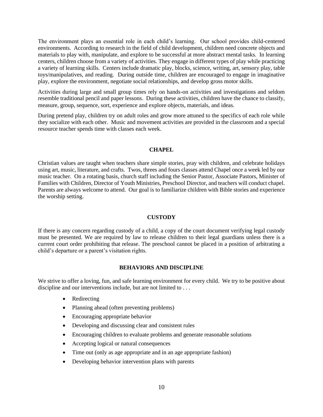The environment plays an essential role in each child's learning. Our school provides child-centered environments. According to research in the field of child development, children need concrete objects and materials to play with, manipulate, and explore to be successful at more abstract mental tasks. In learning centers, children choose from a variety of activities. They engage in different types of play while practicing a variety of learning skills. Centers include dramatic play, blocks, science, writing, art, sensory play, table toys/manipulatives, and reading. During outside time, children are encouraged to engage in imaginative play, explore the environment, negotiate social relationships, and develop gross motor skills.

Activities during large and small group times rely on hands-on activities and investigations and seldom resemble traditional pencil and paper lessons. During these activities, children have the chance to classify, measure, group, sequence, sort, experience and explore objects, materials, and ideas.

During pretend play, children try on adult roles and grow more attuned to the specifics of each role while they socialize with each other. Music and movement activities are provided in the classroom and a special resource teacher spends time with classes each week.

#### **CHAPEL**

Christian values are taught when teachers share simple stories, pray with children, and celebrate holidays using art, music, literature, and crafts. Twos, threes and fours classes attend Chapel once a week led by our music teacher. On a rotating basis, church staff including the Senior Pastor, Associate Pastors, Minister of Families with Children, Director of Youth Ministries, Preschool Director, and teachers will conduct chapel. Parents are always welcome to attend. Our goal is to familiarize children with Bible stories and experience the worship setting.

#### **CUSTODY**

If there is any concern regarding custody of a child, a copy of the court document verifying legal custody must be presented. We are required by law to release children to their legal guardians unless there is a current court order prohibiting that release. The preschool cannot be placed in a position of arbitrating a child's departure or a parent's visitation rights.

#### **BEHAVIORS AND DISCIPLINE**

We strive to offer a loving, fun, and safe learning environment for every child. We try to be positive about discipline and our interventions include, but are not limited to . . .

- Redirecting
- Planning ahead (often preventing problems)
- Encouraging appropriate behavior
- Developing and discussing clear and consistent rules
- Encouraging children to evaluate problems and generate reasonable solutions
- Accepting logical or natural consequences
- Time out (only as age appropriate and in an age appropriate fashion)
- Developing behavior intervention plans with parents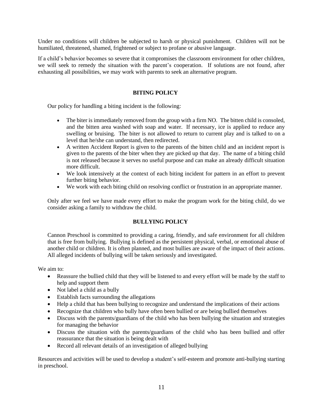Under no conditions will children be subjected to harsh or physical punishment. Children will not be humiliated, threatened, shamed, frightened or subject to profane or abusive language.

If a child's behavior becomes so severe that it compromises the classroom environment for other children, we will seek to remedy the situation with the parent's cooperation. If solutions are not found, after exhausting all possibilities, we may work with parents to seek an alternative program.

## **BITING POLICY**

Our policy for handling a biting incident is the following:

- The biter is immediately removed from the group with a firm NO. The bitten child is consoled, and the bitten area washed with soap and water. If necessary, ice is applied to reduce any swelling or bruising. The biter is not allowed to return to current play and is talked to on a level that he/she can understand, then redirected.
- A written Accident Report is given to the parents of the bitten child and an incident report is given to the parents of the biter when they are picked up that day. The name of a biting child is not released because it serves no useful purpose and can make an already difficult situation more difficult.
- We look intensively at the context of each biting incident for pattern in an effort to prevent further biting behavior.
- We work with each biting child on resolving conflict or frustration in an appropriate manner.

Only after we feel we have made every effort to make the program work for the biting child, do we consider asking a family to withdraw the child.

## **BULLYING POLICY**

Cannon Preschool is committed to providing a caring, friendly, and safe environment for all children that is free from bullying. Bullying is defined as the persistent physical, verbal, or emotional abuse of another child or children. It is often planned, and most bullies are aware of the impact of their actions. All alleged incidents of bullying will be taken seriously and investigated.

We aim to:

- Reassure the bullied child that they will be listened to and every effort will be made by the staff to help and support them
- Not label a child as a bully
- Establish facts surrounding the allegations
- Help a child that has been bullying to recognize and understand the implications of their actions
- Recognize that children who bully have often been bullied or are being bullied themselves
- Discuss with the parents/guardians of the child who has been bullying the situation and strategies for managing the behavior
- Discuss the situation with the parents/guardians of the child who has been bullied and offer reassurance that the situation is being dealt with
- Record all relevant details of an investigation of alleged bullying

Resources and activities will be used to develop a student's self-esteem and promote anti-bullying starting in preschool.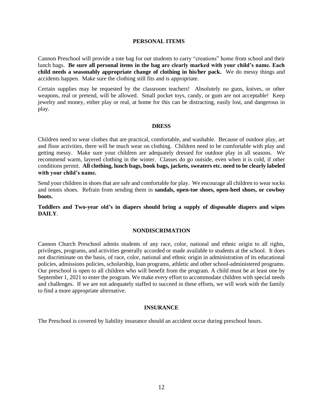#### **PERSONAL ITEMS**

Cannon Preschool will provide a tote bag for our students to carry "creations" home from school and their lunch bags. **Be sure all personal items in the bag are clearly marked with your child's name. Each child needs a seasonably appropriate change of clothing in his/her pack.** We do messy things and accidents happen. Make sure the clothing still fits and is appropriate.

Certain supplies may be requested by the classroom teachers! Absolutely no guns, knives, or other weapons, real or pretend, will be allowed. Small pocket toys, candy, or gum are not acceptable! Keep jewelry and money, either play or real, at home for this can be distracting, easily lost, and dangerous in play.

#### **DRESS**

Children need to wear clothes that are practical, comfortable, and washable. Because of outdoor play, art and floor activities, there will be much wear on clothing. Children need to be comfortable with play and getting messy. Make sure your children are adequately dressed for outdoor play in all seasons. We recommend warm, layered clothing in the winter. Classes do go outside, even when it is cold, if other conditions permit. **All clothing, lunch bags, book bags, jackets, sweaters etc. need to be clearly labeled with your child's name.**

Send your children in shoes that are safe and comfortable for play. We encourage all children to wear socks and tennis shoes. Refrain from sending them in **sandals, open-toe shoes, open-heel shoes, or cowboy boots.**

**Toddlers and Two-year old's in diapers should bring a supply of disposable diapers and wipes DAILY**.

#### **NONDISCRIMATION**

Cannon Church Preschool admits students of any race, color, national and ethnic origin to all rights, privileges, programs, and activities generally accorded or made available to students at the school. It does not discriminate on the basis, of race, color, national and ethnic origin in administration of its educational policies, admissions policies, scholarship, loan programs, athletic and other school-administered programs. Our preschool is open to all children who will benefit from the program. A child must be at least one by September 1, 2021 to enter the program. We make every effort to accommodate children with special needs and challenges. If we are not adequately staffed to succeed in these efforts, we will work with the family to find a more appropriate alternative.

#### **INSURANCE**

The Preschool is covered by liability insurance should an accident occur during preschool hours.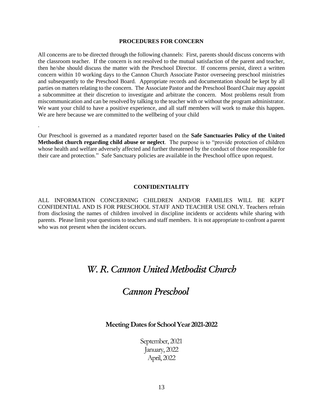#### **PROCEDURES FOR CONCERN**

All concerns are to be directed through the following channels: First, parents should discuss concerns with the classroom teacher. If the concern is not resolved to the mutual satisfaction of the parent and teacher, then he/she should discuss the matter with the Preschool Director. If concerns persist, direct a written concern within 10 working days to the Cannon Church Associate Pastor overseeing preschool ministries and subsequently to the Preschool Board. Appropriate records and documentation should be kept by all parties on matters relating to the concern. The Associate Pastor and the Preschool Board Chair may appoint a subcommittee at their discretion to investigate and arbitrate the concern. Most problems result from miscommunication and can be resolved by talking to the teacher with or without the program administrator. We want your child to have a positive experience, and all staff members will work to make this happen. We are here because we are committed to the wellbeing of your child

Our Preschool is governed as a mandated reporter based on the **Safe Sanctuaries Policy of the United Methodist church regarding child abuse or neglect**. The purpose is to "provide protection of children whose health and welfare adversely affected and further threatened by the conduct of those responsible for their care and protection." Safe Sanctuary policies are available in the Preschool office upon request.

.

#### **CONFIDENTIALITY**

ALL INFORMATION CONCERNING CHILDREN AND/OR FAMILIES WILL BE KEPT CONFIDENTIAL AND IS FOR PRESCHOOL STAFF AND TEACHER USE ONLY. Teachers refrain from disclosing the names of children involved in discipline incidents or accidents while sharing with parents. Please limit your questions to teachers and staff members. It is not appropriate to confront a parent who was not present when the incident occurs.

# *W. R. Cannon United Methodist Church*

# *Cannon Preschool*

#### **MeetingDates for School Year 2021-2022**

September, 2021 January, 2022 April, 2022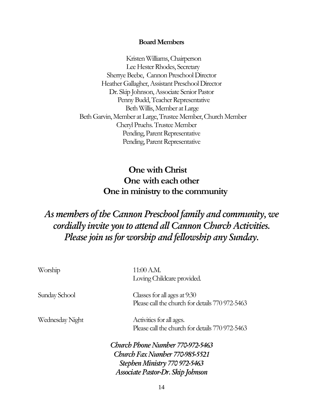# **Board Members**

 Kristen Williams, Chairperson Lee Hester Rhodes, Secretary Sherrye Beebe, Cannon Preschool Director Heather Gallagher, Assistant Preschool Director Dr. Skip Johnson, Associate Senior Pastor Penny Budd, Teacher Representative Beth Willis, Member at Large Beth Garvin, Member at Large, Trustee Member, Church Member Cheryl Pruehs. Trustee Member Pending, Parent Representative Pending, Parent Representative

# **One with Christ One with each other One in ministry to the community**

# *As members of the Cannon Preschool family and community, we cordially invite you to attend all Cannon Church Activities. Please join us for worship and fellowship any Sunday.*

| Worship         | 11:00 A.M.                                      |
|-----------------|-------------------------------------------------|
|                 | Loving Childcare provided.                      |
| Sunday School   | Classes for all ages at 9:30                    |
|                 | Please call the church for details 770 972-5463 |
| Wednesday Night | Activities for all ages.                        |
|                 | Please call the church for details 770 972-5463 |
|                 | Church Phone Number 770-972-5463                |
|                 | Church Fax Number 770-985-5521                  |
|                 | Stephen Ministry 770 972-5463                   |
|                 | Associate Pastor-Dr. Skip Johnson               |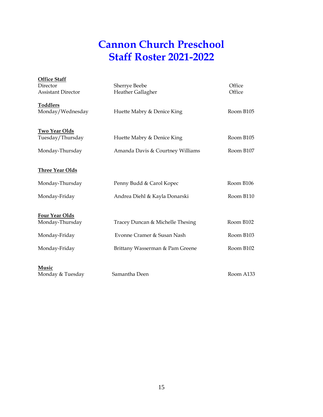# **Cannon Church Preschool Staff Roster 2021-2022**

| <b>Office Staff</b><br>Director<br><b>Assistant Director</b> | Sherrye Beebe<br>Heather Gallagher                             | Office<br>Office       |
|--------------------------------------------------------------|----------------------------------------------------------------|------------------------|
| <b>Toddlers</b><br>Monday/Wednesday                          | Huette Mabry & Denice King                                     | Room B105              |
| <b>Two Year Olds</b><br>Tuesday/Thursday<br>Monday-Thursday  | Huette Mabry & Denice King<br>Amanda Davis & Courtney Williams | Room B105<br>Room B107 |
| <b>Three Year Olds</b>                                       |                                                                |                        |
| Monday-Thursday<br>Monday-Friday                             | Penny Budd & Carol Kopec<br>Andrea Diehl & Kayla Donarski      | Room B106<br>Room B110 |
| <b>Four Year Olds</b><br>Monday-Thursday<br>Monday-Friday    | Tracey Duncan & Michelle Thesing<br>Evonne Cramer & Susan Nash | Room B102<br>Room B103 |
| Monday-Friday                                                | Brittany Wasserman & Pam Greene                                | Room B102              |
| Music<br>Monday & Tuesday                                    | Samantha Deen                                                  | Room A133              |